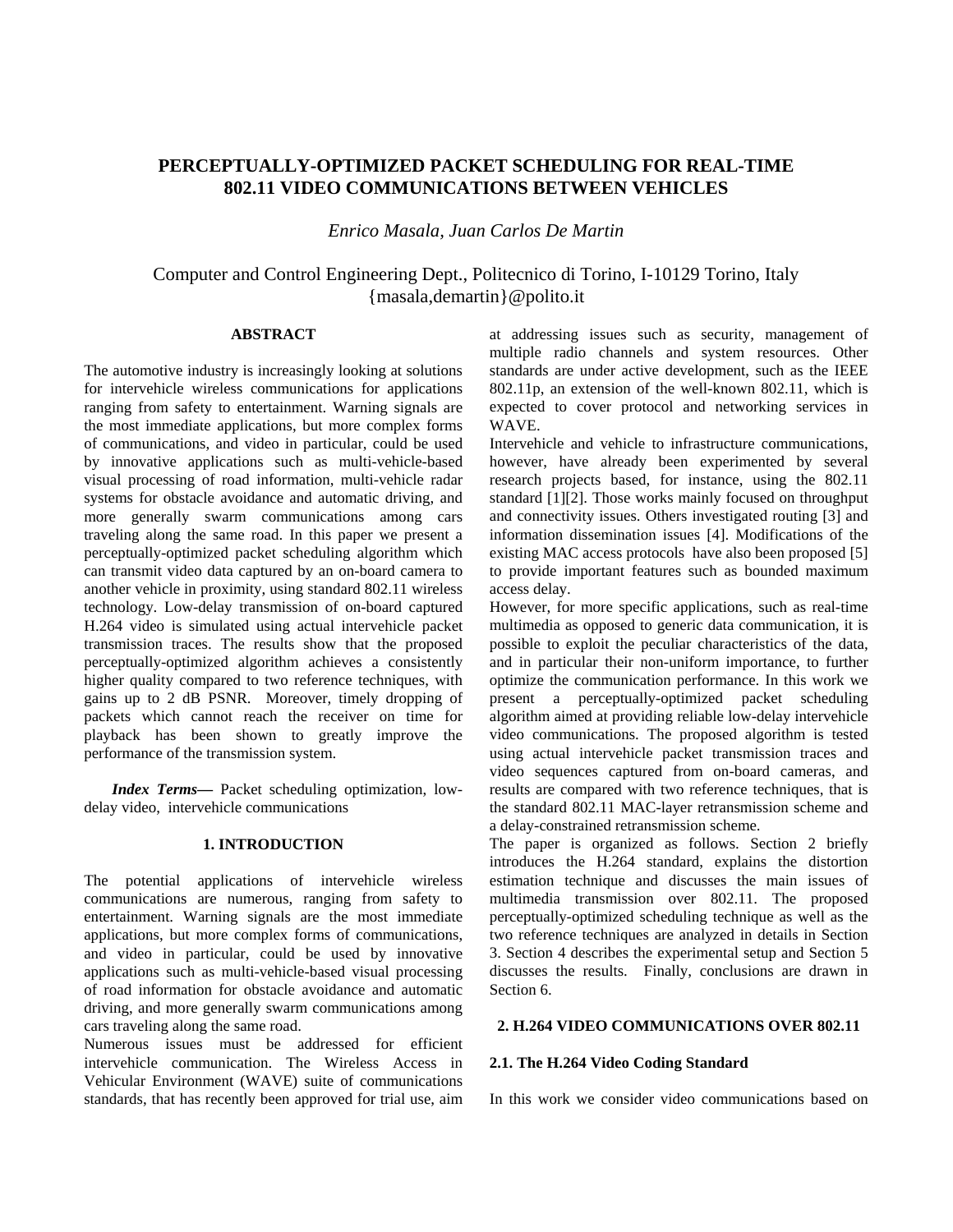# **PERCEPTUALLY-OPTIMIZED PACKET SCHEDULING FOR REAL-TIME 802.11 VIDEO COMMUNICATIONS BETWEEN VEHICLES**

*Enrico Masala, Juan Carlos De Martin* 

# Computer and Control Engineering Dept., Politecnico di Torino, I-10129 Torino, Italy {masala,demartin}@polito.it

## **ABSTRACT**

The automotive industry is increasingly looking at solutions for intervehicle wireless communications for applications ranging from safety to entertainment. Warning signals are the most immediate applications, but more complex forms of communications, and video in particular, could be used by innovative applications such as multi-vehicle-based visual processing of road information, multi-vehicle radar systems for obstacle avoidance and automatic driving, and more generally swarm communications among cars traveling along the same road. In this paper we present a perceptually-optimized packet scheduling algorithm which can transmit video data captured by an on-board camera to another vehicle in proximity, using standard 802.11 wireless technology. Low-delay transmission of on-board captured H.264 video is simulated using actual intervehicle packet transmission traces. The results show that the proposed perceptually-optimized algorithm achieves a consistently higher quality compared to two reference techniques, with gains up to 2 dB PSNR. Moreover, timely dropping of packets which cannot reach the receiver on time for playback has been shown to greatly improve the performance of the transmission system.

*Index Terms—* Packet scheduling optimization, lowdelay video, intervehicle communications

### **1. INTRODUCTION**

The potential applications of intervehicle wireless communications are numerous, ranging from safety to entertainment. Warning signals are the most immediate applications, but more complex forms of communications, and video in particular, could be used by innovative applications such as multi-vehicle-based visual processing of road information for obstacle avoidance and automatic driving, and more generally swarm communications among cars traveling along the same road.

Numerous issues must be addressed for efficient intervehicle communication. The Wireless Access in Vehicular Environment (WAVE) suite of communications standards, that has recently been approved for trial use, aim at addressing issues such as security, management of multiple radio channels and system resources. Other standards are under active development, such as the IEEE 802.11p, an extension of the well-known 802.11, which is expected to cover protocol and networking services in WAVE.

Intervehicle and vehicle to infrastructure communications, however, have already been experimented by several research projects based, for instance, using the 802.11 standard [1][2]. Those works mainly focused on throughput and connectivity issues. Others investigated routing [3] and information dissemination issues [4]. Modifications of the existing MAC access protocols have also been proposed [5] to provide important features such as bounded maximum access delay.

However, for more specific applications, such as real-time multimedia as opposed to generic data communication, it is possible to exploit the peculiar characteristics of the data, and in particular their non-uniform importance, to further optimize the communication performance. In this work we present a perceptually-optimized packet scheduling algorithm aimed at providing reliable low-delay intervehicle video communications. The proposed algorithm is tested using actual intervehicle packet transmission traces and video sequences captured from on-board cameras, and results are compared with two reference techniques, that is the standard 802.11 MAC-layer retransmission scheme and a delay-constrained retransmission scheme.

The paper is organized as follows. Section 2 briefly introduces the H.264 standard, explains the distortion estimation technique and discusses the main issues of multimedia transmission over 802.11. The proposed perceptually-optimized scheduling technique as well as the two reference techniques are analyzed in details in Section 3. Section 4 describes the experimental setup and Section 5 discusses the results. Finally, conclusions are drawn in Section 6.

## **2. H.264 VIDEO COMMUNICATIONS OVER 802.11**

#### **2.1. The H.264 Video Coding Standard**

In this work we consider video communications based on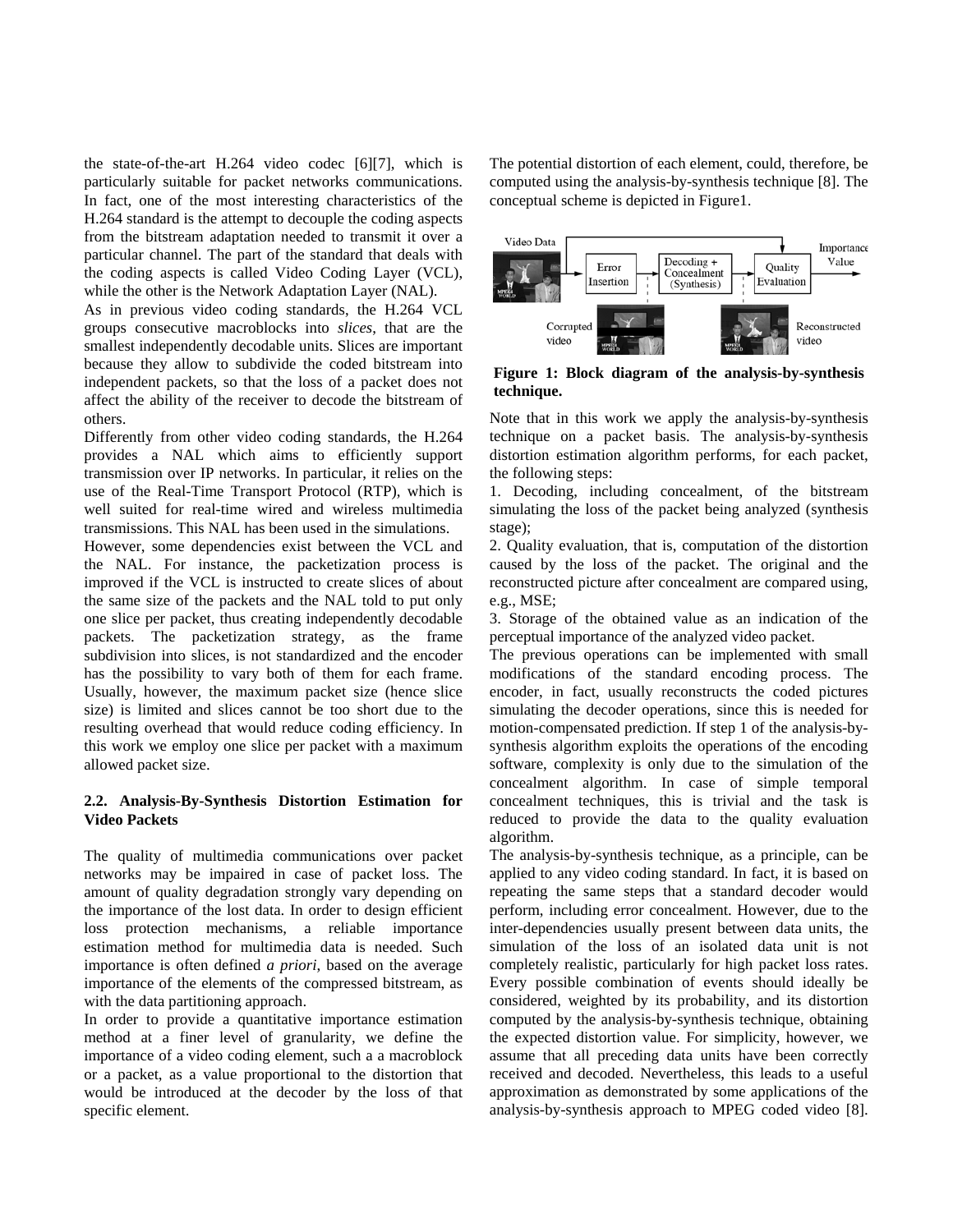the state-of-the-art H.264 video codec [6][7], which is particularly suitable for packet networks communications. In fact, one of the most interesting characteristics of the H.264 standard is the attempt to decouple the coding aspects from the bitstream adaptation needed to transmit it over a particular channel. The part of the standard that deals with the coding aspects is called Video Coding Layer (VCL), while the other is the Network Adaptation Layer (NAL).

As in previous video coding standards, the H.264 VCL groups consecutive macroblocks into *slices*, that are the smallest independently decodable units. Slices are important because they allow to subdivide the coded bitstream into independent packets, so that the loss of a packet does not affect the ability of the receiver to decode the bitstream of others.

Differently from other video coding standards, the H.264 provides a NAL which aims to efficiently support transmission over IP networks. In particular, it relies on the use of the Real-Time Transport Protocol (RTP), which is well suited for real-time wired and wireless multimedia transmissions. This NAL has been used in the simulations.

However, some dependencies exist between the VCL and the NAL. For instance, the packetization process is improved if the VCL is instructed to create slices of about the same size of the packets and the NAL told to put only one slice per packet, thus creating independently decodable packets. The packetization strategy, as the frame subdivision into slices, is not standardized and the encoder has the possibility to vary both of them for each frame. Usually, however, the maximum packet size (hence slice size) is limited and slices cannot be too short due to the resulting overhead that would reduce coding efficiency. In this work we employ one slice per packet with a maximum allowed packet size.

# **2.2. Analysis-By-Synthesis Distortion Estimation for Video Packets**

The quality of multimedia communications over packet networks may be impaired in case of packet loss. The amount of quality degradation strongly vary depending on the importance of the lost data. In order to design efficient loss protection mechanisms, a reliable importance estimation method for multimedia data is needed. Such importance is often defined *a priori*, based on the average importance of the elements of the compressed bitstream, as with the data partitioning approach.

In order to provide a quantitative importance estimation method at a finer level of granularity, we define the importance of a video coding element, such a a macroblock or a packet, as a value proportional to the distortion that would be introduced at the decoder by the loss of that specific element.

The potential distortion of each element, could, therefore, be computed using the analysis-by-synthesis technique [8]. The conceptual scheme is depicted in Figure1.



**Figure 1: Block diagram of the analysis-by-synthesis technique.** 

Note that in this work we apply the analysis-by-synthesis technique on a packet basis. The analysis-by-synthesis distortion estimation algorithm performs, for each packet, the following steps:

1. Decoding, including concealment, of the bitstream simulating the loss of the packet being analyzed (synthesis stage);

2. Quality evaluation, that is, computation of the distortion caused by the loss of the packet. The original and the reconstructed picture after concealment are compared using, e.g., MSE;

3. Storage of the obtained value as an indication of the perceptual importance of the analyzed video packet.

The previous operations can be implemented with small modifications of the standard encoding process. The encoder, in fact, usually reconstructs the coded pictures simulating the decoder operations, since this is needed for motion-compensated prediction. If step 1 of the analysis-bysynthesis algorithm exploits the operations of the encoding software, complexity is only due to the simulation of the concealment algorithm. In case of simple temporal concealment techniques, this is trivial and the task is reduced to provide the data to the quality evaluation algorithm.

The analysis-by-synthesis technique, as a principle, can be applied to any video coding standard. In fact, it is based on repeating the same steps that a standard decoder would perform, including error concealment. However, due to the inter-dependencies usually present between data units, the simulation of the loss of an isolated data unit is not completely realistic, particularly for high packet loss rates. Every possible combination of events should ideally be considered, weighted by its probability, and its distortion computed by the analysis-by-synthesis technique, obtaining the expected distortion value. For simplicity, however, we assume that all preceding data units have been correctly received and decoded. Nevertheless, this leads to a useful approximation as demonstrated by some applications of the analysis-by-synthesis approach to MPEG coded video [8].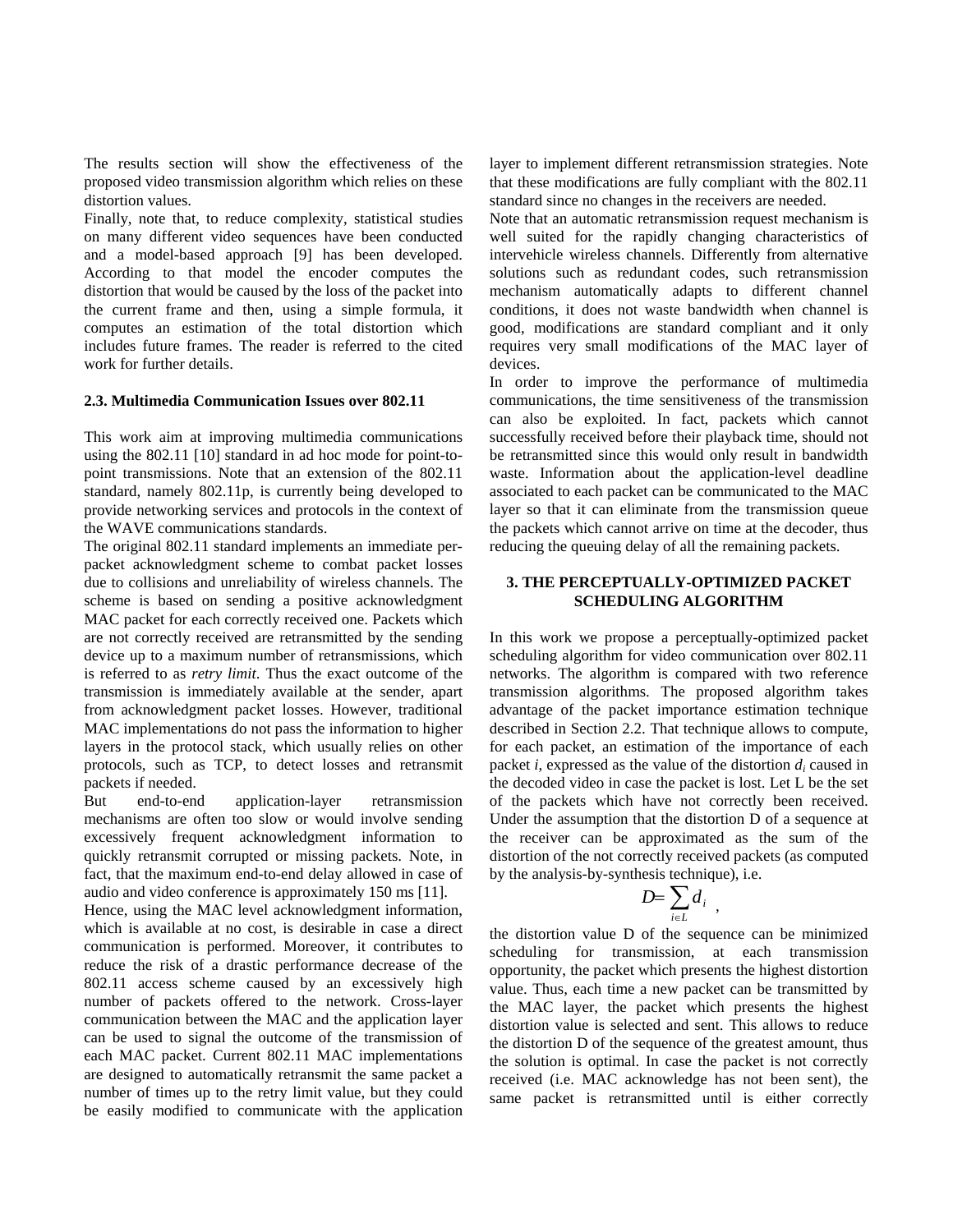The results section will show the effectiveness of the proposed video transmission algorithm which relies on these distortion values.

Finally, note that, to reduce complexity, statistical studies on many different video sequences have been conducted and a model-based approach [9] has been developed. According to that model the encoder computes the distortion that would be caused by the loss of the packet into the current frame and then, using a simple formula, it computes an estimation of the total distortion which includes future frames. The reader is referred to the cited work for further details.

## **2.3. Multimedia Communication Issues over 802.11**

This work aim at improving multimedia communications using the 802.11 [10] standard in ad hoc mode for point-topoint transmissions. Note that an extension of the 802.11 standard, namely 802.11p, is currently being developed to provide networking services and protocols in the context of the WAVE communications standards.

The original 802.11 standard implements an immediate perpacket acknowledgment scheme to combat packet losses due to collisions and unreliability of wireless channels. The scheme is based on sending a positive acknowledgment MAC packet for each correctly received one. Packets which are not correctly received are retransmitted by the sending device up to a maximum number of retransmissions, which is referred to as *retry limit*. Thus the exact outcome of the transmission is immediately available at the sender, apart from acknowledgment packet losses. However, traditional MAC implementations do not pass the information to higher layers in the protocol stack, which usually relies on other protocols, such as TCP, to detect losses and retransmit packets if needed.

But end-to-end application-layer retransmission mechanisms are often too slow or would involve sending excessively frequent acknowledgment information to quickly retransmit corrupted or missing packets. Note, in fact, that the maximum end-to-end delay allowed in case of audio and video conference is approximately 150 ms [11].

Hence, using the MAC level acknowledgment information, which is available at no cost, is desirable in case a direct communication is performed. Moreover, it contributes to reduce the risk of a drastic performance decrease of the 802.11 access scheme caused by an excessively high number of packets offered to the network. Cross-layer communication between the MAC and the application layer can be used to signal the outcome of the transmission of each MAC packet. Current 802.11 MAC implementations are designed to automatically retransmit the same packet a number of times up to the retry limit value, but they could be easily modified to communicate with the application

layer to implement different retransmission strategies. Note that these modifications are fully compliant with the 802.11 standard since no changes in the receivers are needed.

Note that an automatic retransmission request mechanism is well suited for the rapidly changing characteristics of intervehicle wireless channels. Differently from alternative solutions such as redundant codes, such retransmission mechanism automatically adapts to different channel conditions, it does not waste bandwidth when channel is good, modifications are standard compliant and it only requires very small modifications of the MAC layer of devices.

In order to improve the performance of multimedia communications, the time sensitiveness of the transmission can also be exploited. In fact, packets which cannot successfully received before their playback time, should not be retransmitted since this would only result in bandwidth waste. Information about the application-level deadline associated to each packet can be communicated to the MAC layer so that it can eliminate from the transmission queue the packets which cannot arrive on time at the decoder, thus reducing the queuing delay of all the remaining packets.

## **3. THE PERCEPTUALLY-OPTIMIZED PACKET SCHEDULING ALGORITHM**

In this work we propose a perceptually-optimized packet scheduling algorithm for video communication over 802.11 networks. The algorithm is compared with two reference transmission algorithms. The proposed algorithm takes advantage of the packet importance estimation technique described in Section 2.2. That technique allows to compute, for each packet, an estimation of the importance of each packet *i*, expressed as the value of the distortion *di* caused in the decoded video in case the packet is lost. Let L be the set of the packets which have not correctly been received. Under the assumption that the distortion D of a sequence at the receiver can be approximated as the sum of the distortion of the not correctly received packets (as computed by the analysis-by-synthesis technique), i.e.

$$
D=\sum_{i\in L}d_i\ ,
$$

the distortion value D of the sequence can be minimized scheduling for transmission, at each transmission opportunity, the packet which presents the highest distortion value. Thus, each time a new packet can be transmitted by the MAC layer, the packet which presents the highest distortion value is selected and sent. This allows to reduce the distortion D of the sequence of the greatest amount, thus the solution is optimal. In case the packet is not correctly received (i.e. MAC acknowledge has not been sent), the same packet is retransmitted until is either correctly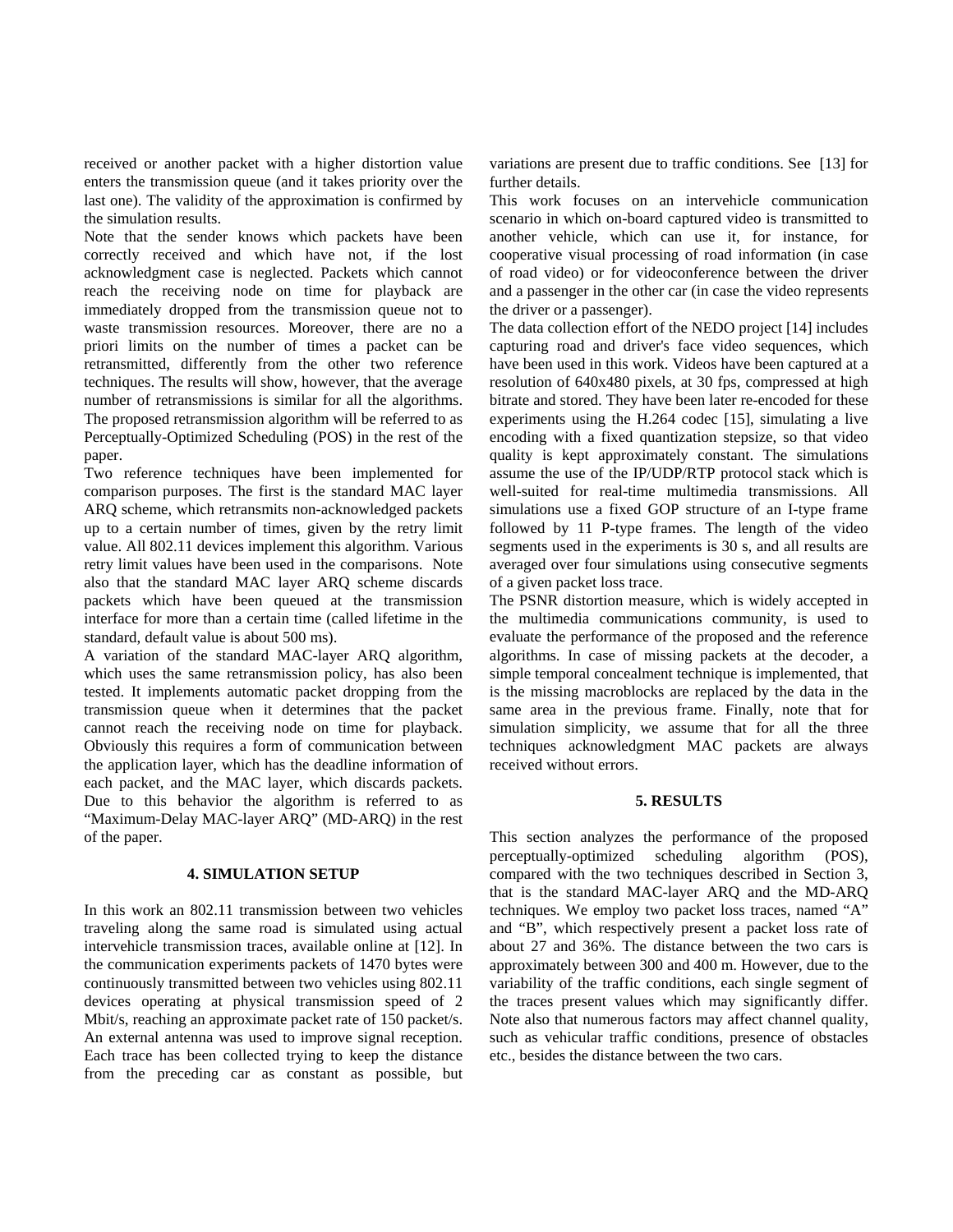received or another packet with a higher distortion value enters the transmission queue (and it takes priority over the last one). The validity of the approximation is confirmed by the simulation results.

Note that the sender knows which packets have been correctly received and which have not, if the lost acknowledgment case is neglected. Packets which cannot reach the receiving node on time for playback are immediately dropped from the transmission queue not to waste transmission resources. Moreover, there are no a priori limits on the number of times a packet can be retransmitted, differently from the other two reference techniques. The results will show, however, that the average number of retransmissions is similar for all the algorithms. The proposed retransmission algorithm will be referred to as Perceptually-Optimized Scheduling (POS) in the rest of the paper.

Two reference techniques have been implemented for comparison purposes. The first is the standard MAC layer ARQ scheme, which retransmits non-acknowledged packets up to a certain number of times, given by the retry limit value. All 802.11 devices implement this algorithm. Various retry limit values have been used in the comparisons. Note also that the standard MAC layer ARQ scheme discards packets which have been queued at the transmission interface for more than a certain time (called lifetime in the standard, default value is about 500 ms).

A variation of the standard MAC-layer ARQ algorithm, which uses the same retransmission policy, has also been tested. It implements automatic packet dropping from the transmission queue when it determines that the packet cannot reach the receiving node on time for playback. Obviously this requires a form of communication between the application layer, which has the deadline information of each packet, and the MAC layer, which discards packets. Due to this behavior the algorithm is referred to as "Maximum-Delay MAC-layer ARQ" (MD-ARQ) in the rest of the paper.

#### **4. SIMULATION SETUP**

In this work an 802.11 transmission between two vehicles traveling along the same road is simulated using actual intervehicle transmission traces, available online at [12]. In the communication experiments packets of 1470 bytes were continuously transmitted between two vehicles using 802.11 devices operating at physical transmission speed of 2 Mbit/s, reaching an approximate packet rate of 150 packet/s. An external antenna was used to improve signal reception. Each trace has been collected trying to keep the distance from the preceding car as constant as possible, but variations are present due to traffic conditions. See [13] for further details.

This work focuses on an intervehicle communication scenario in which on-board captured video is transmitted to another vehicle, which can use it, for instance, for cooperative visual processing of road information (in case of road video) or for videoconference between the driver and a passenger in the other car (in case the video represents the driver or a passenger).

The data collection effort of the NEDO project [14] includes capturing road and driver's face video sequences, which have been used in this work. Videos have been captured at a resolution of 640x480 pixels, at 30 fps, compressed at high bitrate and stored. They have been later re-encoded for these experiments using the H.264 codec [15], simulating a live encoding with a fixed quantization stepsize, so that video quality is kept approximately constant. The simulations assume the use of the IP/UDP/RTP protocol stack which is well-suited for real-time multimedia transmissions. All simulations use a fixed GOP structure of an I-type frame followed by 11 P-type frames. The length of the video segments used in the experiments is 30 s, and all results are averaged over four simulations using consecutive segments of a given packet loss trace.

The PSNR distortion measure, which is widely accepted in the multimedia communications community, is used to evaluate the performance of the proposed and the reference algorithms. In case of missing packets at the decoder, a simple temporal concealment technique is implemented, that is the missing macroblocks are replaced by the data in the same area in the previous frame. Finally, note that for simulation simplicity, we assume that for all the three techniques acknowledgment MAC packets are always received without errors.

#### **5. RESULTS**

This section analyzes the performance of the proposed perceptually-optimized scheduling algorithm (POS), compared with the two techniques described in Section 3, that is the standard MAC-layer ARQ and the MD-ARQ techniques. We employ two packet loss traces, named "A" and "B", which respectively present a packet loss rate of about 27 and 36%. The distance between the two cars is approximately between 300 and 400 m. However, due to the variability of the traffic conditions, each single segment of the traces present values which may significantly differ. Note also that numerous factors may affect channel quality, such as vehicular traffic conditions, presence of obstacles etc., besides the distance between the two cars.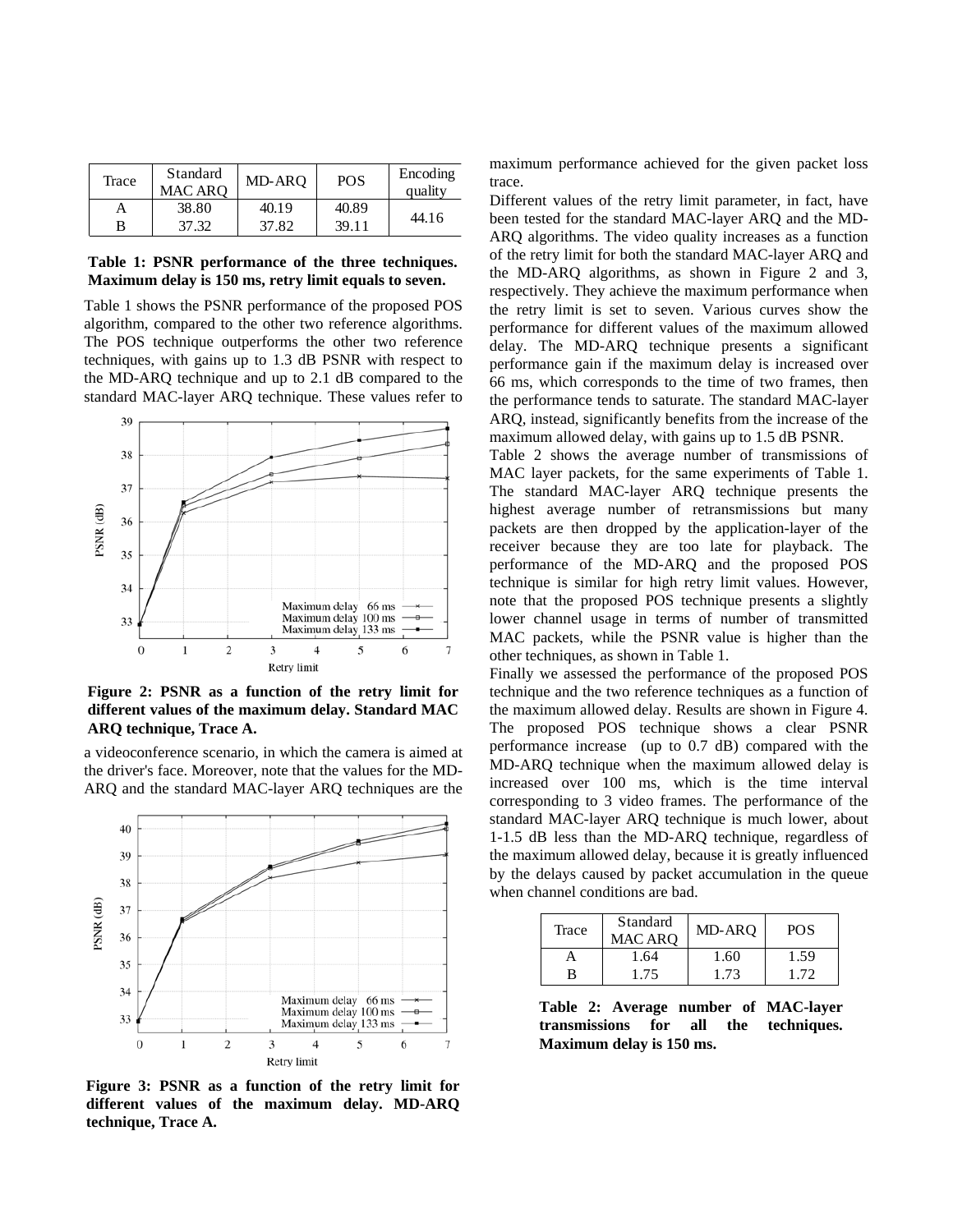|  | Trace |                            | MD-ARO | <b>POS</b> | Encoding<br>quality | max <sub>1</sub> n |
|--|-------|----------------------------|--------|------------|---------------------|--------------------|
|  |       | Standard<br><b>MAC ARO</b> |        |            |                     | trace.             |
|  |       |                            |        |            |                     | Differ             |
|  |       | 38.80                      | 40.19  | 40.89      | 44.16               |                    |
|  | в     | 37.32                      | 37.82  | 39.11      |                     | been t             |
|  |       |                            |        |            |                     | AD <sub>O</sub>    |

**Table 1: PSNR performance of the three techniques. Maximum delay is 150 ms, retry limit equals to seven.** 

Table 1 shows the PSNR performance of the proposed POS algorithm, compared to the other two reference algorithms. The POS technique outperforms the other two reference techniques, with gains up to 1.3 dB PSNR with respect to the MD-ARQ technique and up to 2.1 dB compared to the standard MAC-layer ARQ technique. These values refer to



**Figure 2: PSNR as a function of the retry limit for different values of the maximum delay. Standard MAC ARQ technique, Trace A.** 

a videoconference scenario, in which the camera is aimed at the driver's face. Moreover, note that the values for the MD-ARQ and the standard MAC-layer ARQ techniques are the



**Figure 3: PSNR as a function of the retry limit for different values of the maximum delay. MD-ARQ technique, Trace A.** 

maximum performance achieved for the given packet loss trace.<br>Different values of the retry limit parameter, in fact, have

been tested for the standard MAC-layer ARQ and the MD-ARQ algorithms. The video quality increases as a function of the retry limit for both the standard MAC-layer ARQ and the MD-ARQ algorithms, as shown in Figure 2 and 3, respectively. They achieve the maximum performance when the retry limit is set to seven. Various curves show the performance for different values of the maximum allowed delay. The MD-ARQ technique presents a significant performance gain if the maximum delay is increased over 66 ms, which corresponds to the time of two frames, then the performance tends to saturate. The standard MAC-layer ARQ, instead, significantly benefits from the increase of the maximum allowed delay, with gains up to 1.5 dB PSNR.

Table 2 shows the average number of transmissions of MAC layer packets, for the same experiments of Table 1. The standard MAC-layer ARQ technique presents the highest average number of retransmissions but many packets are then dropped by the application-layer of the receiver because they are too late for playback. The performance of the MD-ARQ and the proposed POS technique is similar for high retry limit values. However, note that the proposed POS technique presents a slightly lower channel usage in terms of number of transmitted MAC packets, while the PSNR value is higher than the other techniques, as shown in Table 1.

Finally we assessed the performance of the proposed POS technique and the two reference techniques as a function of the maximum allowed delay. Results are shown in Figure 4. The proposed POS technique shows a clear PSNR performance increase (up to 0.7 dB) compared with the MD-ARQ technique when the maximum allowed delay is increased over 100 ms, which is the time interval corresponding to 3 video frames. The performance of the standard MAC-layer ARQ technique is much lower, about 1-1.5 dB less than the MD-ARQ technique, regardless of the maximum allowed delay, because it is greatly influenced by the delays caused by packet accumulation in the queue when channel conditions are bad.

| Trace | Standard<br><b>MAC ARO</b> | MD-ARO | POS  |
|-------|----------------------------|--------|------|
|       | 1.64                       | 1.60   | 1.59 |
| R     | 1.75                       | 1.73   | 172  |

**Table 2: Average number of MAC-layer transmissions for all the techniques. Maximum delay is 150 ms.**